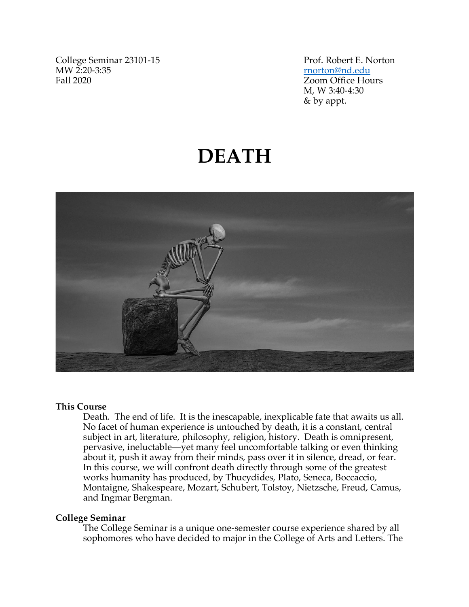College Seminar 23101-15<br>
MW 2:20-3:35<br>
Prof. Robert E. Norton<br>
morton@nd.edu MW 2:20-3:35<br>
Fall 2020<br>
Fall 2020

Zoom Office Hours M, W 3:40-4:30 & by appt.

# **DEATH**



## **This Course**

Death. The end of life. It is the inescapable, inexplicable fate that awaits us all. No facet of human experience is untouched by death, it is a constant, central subject in art, literature, philosophy, religion, history. Death is omnipresent, pervasive, ineluctable—yet many feel uncomfortable talking or even thinking about it, push it away from their minds, pass over it in silence, dread, or fear. In this course, we will confront death directly through some of the greatest works humanity has produced, by Thucydides, Plato, Seneca, Boccaccio, Montaigne, Shakespeare, Mozart, Schubert, Tolstoy, Nietzsche, Freud, Camus, and Ingmar Bergman.

## **College Seminar**

The College Seminar is a unique one-semester course experience shared by all sophomores who have decided to major in the College of Arts and Letters. The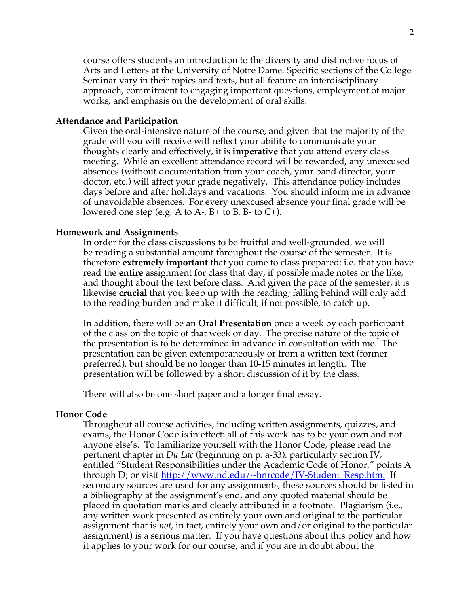course offers students an introduction to the diversity and distinctive focus of Arts and Letters at the University of Notre Dame. Specific sections of the College Seminar vary in their topics and texts, but all feature an interdisciplinary approach, commitment to engaging important questions, employment of major works, and emphasis on the development of oral skills.

## **Attendance and Participation**

Given the oral-intensive nature of the course, and given that the majority of the grade will you will receive will reflect your ability to communicate your thoughts clearly and effectively, it is **imperative** that you attend every class meeting. While an excellent attendance record will be rewarded, any unexcused absences (without documentation from your coach, your band director, your doctor, etc.) will affect your grade negatively. This attendance policy includes days before and after holidays and vacations. You should inform me in advance of unavoidable absences. For every unexcused absence your final grade will be lowered one step (e.g. A to A-,  $B+$  to B, B- to C+).

### **Homework and Assignments**

In order for the class discussions to be fruitful and well-grounded, we will be reading a substantial amount throughout the course of the semester. It is therefore **extremely important** that you come to class prepared: i.e. that you have read the **entire** assignment for class that day, if possible made notes or the like, and thought about the text before class. And given the pace of the semester, it is likewise **crucial** that you keep up with the reading; falling behind will only add to the reading burden and make it difficult, if not possible, to catch up.

In addition, there will be an **Oral Presentation** once a week by each participant of the class on the topic of that week or day. The precise nature of the topic of the presentation is to be determined in advance in consultation with me. The presentation can be given extemporaneously or from a written text (former preferred), but should be no longer than 10-15 minutes in length. The presentation will be followed by a short discussion of it by the class.

There will also be one short paper and a longer final essay.

#### **Honor Code**

Throughout all course activities, including written assignments, quizzes, and exams, the Honor Code is in effect: all of this work has to be your own and not anyone else's. To familiarize yourself with the Honor Code, please read the pertinent chapter in *Du Lac* (beginning on p. a-33): particularly section IV, entitled "Student Responsibilities under the Academic Code of Honor," points A through D; or visit http://www.nd.edu/~hnrcode/IV-Student\_Resp.htm. If secondary sources are used for any assignments, these sources should be listed in a bibliography at the assignment's end, and any quoted material should be placed in quotation marks and clearly attributed in a footnote. Plagiarism (i.e., any written work presented as entirely your own and original to the particular assignment that is *not*, in fact, entirely your own and/or original to the particular assignment) is a serious matter. If you have questions about this policy and how it applies to your work for our course, and if you are in doubt about the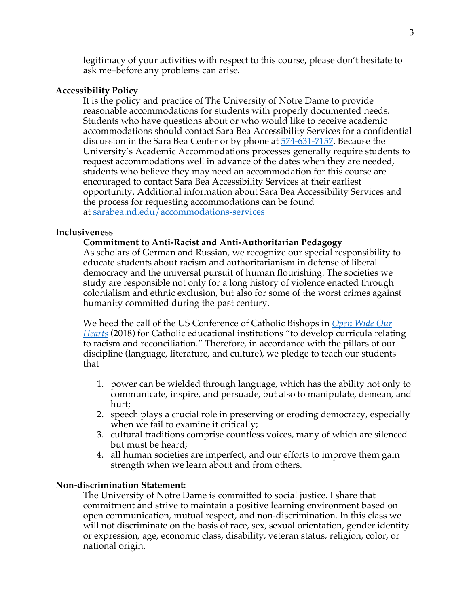legitimacy of your activities with respect to this course, please don't hesitate to ask me–before any problems can arise.

## **Accessibility Policy**

It is the policy and practice of The University of Notre Dame to provide reasonable accommodations for students with properly documented needs. Students who have questions about or who would like to receive academic accommodations should contact Sara Bea Accessibility Services for a confidential discussion in the Sara Bea Center or by phone at 574-631-7157. Because the University's Academic Accommodations processes generally require students to request accommodations well in advance of the dates when they are needed, students who believe they may need an accommodation for this course are encouraged to contact Sara Bea Accessibility Services at their earliest opportunity. Additional information about Sara Bea Accessibility Services and the process for requesting accommodations can be found at sarabea.nd.edu/accommodations-services

## **Inclusiveness**

## **Commitment to Anti-Racist and Anti-Authoritarian Pedagogy**

As scholars of German and Russian, we recognize our special responsibility to educate students about racism and authoritarianism in defense of liberal democracy and the universal pursuit of human flourishing. The societies we study are responsible not only for a long history of violence enacted through colonialism and ethnic exclusion, but also for some of the worst crimes against humanity committed during the past century.

We heed the call of the US Conference of Catholic Bishops in *Open Wide Our Hearts* (2018) for Catholic educational institutions "to develop curricula relating to racism and reconciliation." Therefore, in accordance with the pillars of our discipline (language, literature, and culture), we pledge to teach our students that

- 1. power can be wielded through language, which has the ability not only to communicate, inspire, and persuade, but also to manipulate, demean, and hurt;
- 2. speech plays a crucial role in preserving or eroding democracy, especially when we fail to examine it critically;
- 3. cultural traditions comprise countless voices, many of which are silenced but must be heard;
- 4. all human societies are imperfect, and our efforts to improve them gain strength when we learn about and from others.

## **Non-discrimination Statement:**

The University of Notre Dame is committed to social justice. I share that commitment and strive to maintain a positive learning environment based on open communication, mutual respect, and non-discrimination. In this class we will not discriminate on the basis of race, sex, sexual orientation, gender identity or expression, age, economic class, disability, veteran status, religion, color, or national origin.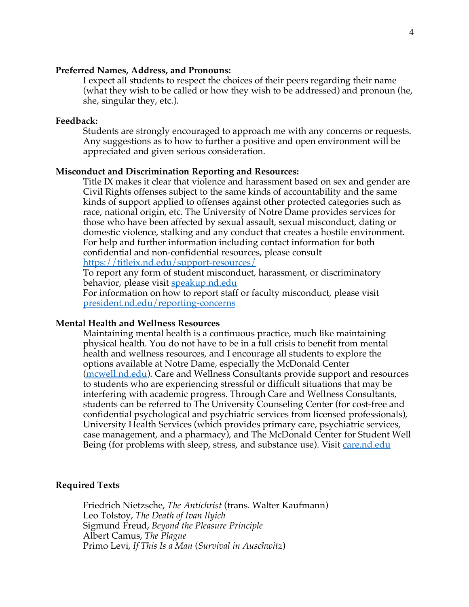## **Preferred Names, Address, and Pronouns:**

I expect all students to respect the choices of their peers regarding their name (what they wish to be called or how they wish to be addressed) and pronoun (he, she, singular they, etc.).

## **Feedback:**

Students are strongly encouraged to approach me with any concerns or requests. Any suggestions as to how to further a positive and open environment will be appreciated and given serious consideration.

#### **Misconduct and Discrimination Reporting and Resources:**

Title IX makes it clear that violence and harassment based on sex and gender are Civil Rights offenses subject to the same kinds of accountability and the same kinds of support applied to offenses against other protected categories such as race, national origin, etc. The University of Notre Dame provides services for those who have been affected by sexual assault, sexual misconduct, dating or domestic violence, stalking and any conduct that creates a hostile environment. For help and further information including contact information for both confidential and non-confidential resources, please consult

https://titleix.nd.edu/support-resources/

To report any form of student misconduct, harassment, or discriminatory behavior, please visit speakup.nd.edu

For information on how to report staff or faculty misconduct, please visit president.nd.edu/reporting-concerns

## **Mental Health and Wellness Resources**

Maintaining mental health is a continuous practice, much like maintaining physical health. You do not have to be in a full crisis to benefit from mental health and wellness resources, and I encourage all students to explore the options available at Notre Dame, especially the McDonald Center (mcwell.nd.edu). Care and Wellness Consultants provide support and resources to students who are experiencing stressful or difficult situations that may be interfering with academic progress. Through Care and Wellness Consultants, students can be referred to The University Counseling Center (for cost-free and confidential psychological and psychiatric services from licensed professionals), University Health Services (which provides primary care, psychiatric services, case management, and a pharmacy), and The McDonald Center for Student Well Being (for problems with sleep, stress, and substance use). Visit care.nd.edu

## **Required Texts**

Friedrich Nietzsche, *The Antichrist* (trans. Walter Kaufmann) Leo Tolstoy, *The Death of Ivan Ilyich* Sigmund Freud, *Beyond the Pleasure Principle* Albert Camus, *The Plague* Primo Levi, *If This Is a Man* (*Survival in Auschwitz*)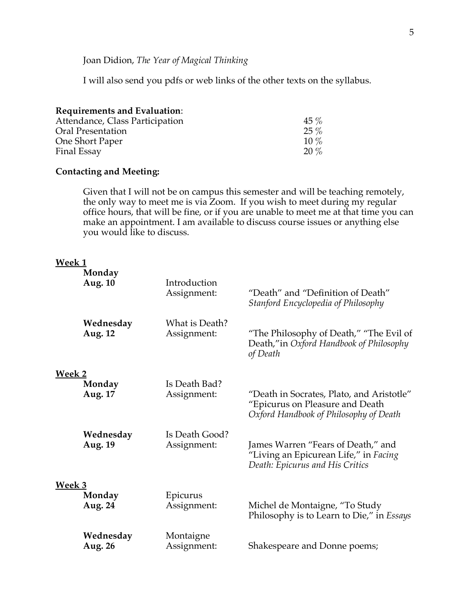Joan Didion, *The Year of Magical Thinking*

I will also send you pdfs or web links of the other texts on the syllabus.

| <b>Requirements and Evaluation:</b> |        |
|-------------------------------------|--------|
| Attendance, Class Participation     | $45\%$ |
| Oral Presentation                   | $25\%$ |
| One Short Paper                     | $10\%$ |
| Final Essay                         | $20\%$ |

## **Contacting and Meeting:**

Given that I will not be on campus this semester and will be teaching remotely, the only way to meet me is via Zoom. If you wish to meet during my regular office hours, that will be fine, or if you are unable to meet me at that time you can make an appointment. I am available to discuss course issues or anything else you would like to discuss.

## **Week 1**

|        | Monday<br>Aug. 10           | Introduction<br>Assignment:   | "Death" and "Definition of Death"<br>Stanford Encyclopedia of Philosophy                                               |
|--------|-----------------------------|-------------------------------|------------------------------------------------------------------------------------------------------------------------|
|        | Wednesday<br>Aug. 12        | What is Death?<br>Assignment: | "The Philosophy of Death," "The Evil of<br>Death,"in Oxford Handbook of Philosophy<br>of Death                         |
| Week 2 | Monday<br>Aug. 17           | Is Death Bad?<br>Assignment:  | "Death in Socrates, Plato, and Aristotle"<br>"Epicurus on Pleasure and Death<br>Oxford Handbook of Philosophy of Death |
|        | Wednesday<br>Aug. 19        | Is Death Good?<br>Assignment: | James Warren "Fears of Death," and<br>"Living an Epicurean Life," in Facing<br>Death: Epicurus and His Critics         |
| Week 3 | Monday<br>Aug. 24           | Epicurus<br>Assignment:       | Michel de Montaigne, "To Study<br>Philosophy is to Learn to Die," in Essays                                            |
|        | Wednesday<br><b>Aug. 26</b> | Montaigne<br>Assignment:      | Shakespeare and Donne poems;                                                                                           |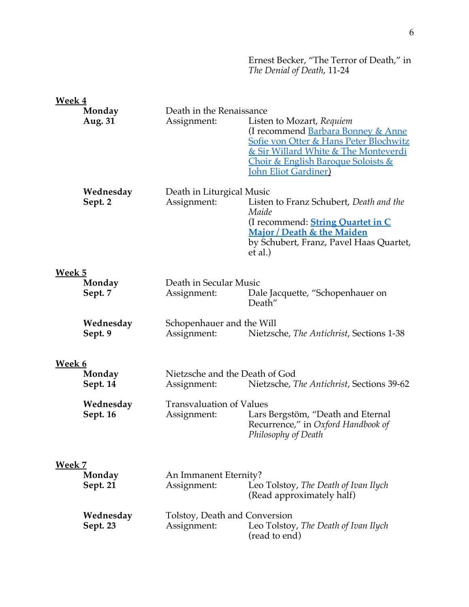Ernest Becker, "The Terror of Death," in *The Denial of Death*, 11-24

| Week 4        |                       |                                                |                                                                                                                                                                                                                                         |
|---------------|-----------------------|------------------------------------------------|-----------------------------------------------------------------------------------------------------------------------------------------------------------------------------------------------------------------------------------------|
|               | Monday<br>Aug. 31     | Death in the Renaissance<br>Assignment:        | Listen to Mozart, Requiem<br>(I recommend Barbara Bonney & Anne<br>Sofie von Otter & Hans Peter Blochwitz<br>& Sir Willard White & The Monteverdi<br><u> Choir &amp; English Baroque Soloists &amp;</u><br><b>John Eliot Gardiner</b> ) |
|               | Wednesday<br>Sept. 2  | Death in Liturgical Music<br>Assignment:       | Listen to Franz Schubert, Death and the<br>Maide<br>(I recommend: <b>String Quartet in C</b><br>Major / Death & the Maiden<br>by Schubert, Franz, Pavel Haas Quartet,<br>et al.)                                                        |
| Week 5        | Monday<br>Sept. 7     | Death in Secular Music<br>Assignment:          | Dale Jacquette, "Schopenhauer on<br>Death"                                                                                                                                                                                              |
|               | Wednesday<br>Sept. 9  | Schopenhauer and the Will<br>Assignment:       | Nietzsche, The Antichrist, Sections 1-38                                                                                                                                                                                                |
|               |                       |                                                |                                                                                                                                                                                                                                         |
| <b>Week 6</b> | Monday<br>Sept. 14    | Nietzsche and the Death of God<br>Assignment:  | Nietzsche, The Antichrist, Sections 39-62                                                                                                                                                                                               |
|               | Wednesday<br>Sept. 16 | <b>Transvaluation of Values</b><br>Assignment: | Lars Bergstöm, "Death and Eternal<br>Recurrence," in Oxford Handbook of<br>Philosophy of Death                                                                                                                                          |
| <b>Week 7</b> | Monday<br>Sept. 21    | An Immanent Eternity?<br>Assignment:           | Leo Tolstoy, The Death of Ivan Ilych<br>(Read approximately half)                                                                                                                                                                       |
|               | Wednesday<br>Sept. 23 | Tolstoy, Death and Conversion<br>Assignment:   | Leo Tolstoy, The Death of Ivan Ilych<br>(read to end)                                                                                                                                                                                   |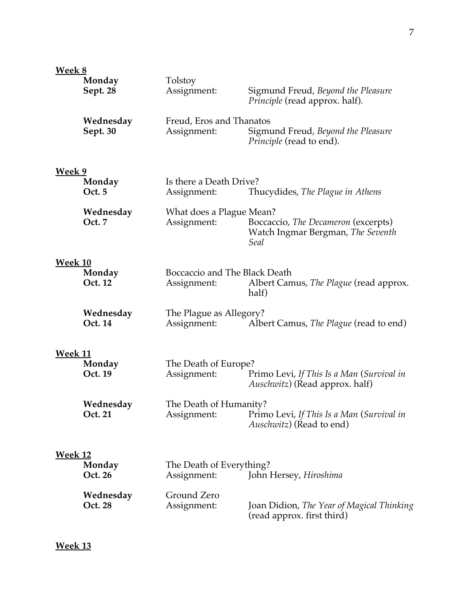| <b>Week 8</b>  | Monday                | Tolstoy                                      |                                                                                     |
|----------------|-----------------------|----------------------------------------------|-------------------------------------------------------------------------------------|
|                | Sept. 28              | Assignment:                                  | Sigmund Freud, Beyond the Pleasure<br><i>Principle</i> (read approx. half).         |
|                | Wednesday<br>Sept. 30 | Freud, Eros and Thanatos<br>Assignment:      | Sigmund Freud, Beyond the Pleasure<br>Principle (read to end).                      |
| <b>Week 9</b>  |                       |                                              |                                                                                     |
|                | Monday<br>Oct. 5      | Is there a Death Drive?<br>Assignment:       | Thucydides, The Plague in Athens                                                    |
|                | Wednesday<br>Oct. 7   | What does a Plague Mean?<br>Assignment:      | Boccaccio, The Decameron (excerpts)<br>Watch Ingmar Bergman, The Seventh<br>Seal    |
| <b>Week 10</b> | Monday<br>Oct. 12     | Boccaccio and The Black Death<br>Assignment: | Albert Camus, The Plague (read approx.<br>half)                                     |
|                | Wednesday<br>Oct. 14  | The Plague as Allegory?<br>Assignment:       | Albert Camus, The Plague (read to end)                                              |
| <b>Week 11</b> | Monday<br>Oct. 19     | The Death of Europe?<br>Assignment:          | Primo Levi, If This Is a Man (Survival in<br><i>Auschwitz</i> ) (Read approx. half) |
|                | Wednesday<br>Oct. 21  | The Death of Humanity?<br>Assignment:        | Primo Levi, If This Is a Man (Survival in<br><i>Auschwitz</i> ) (Read to end)       |
| <u>Week 12</u> | Monday<br>Oct. 26     | The Death of Everything?<br>Assignment:      | John Hersey, <i>Hiroshima</i>                                                       |
|                | Wednesday<br>Oct. 28  | Ground Zero<br>Assignment:                   | Joan Didion, The Year of Magical Thinking<br>(read approx. first third)             |

**Week 13**